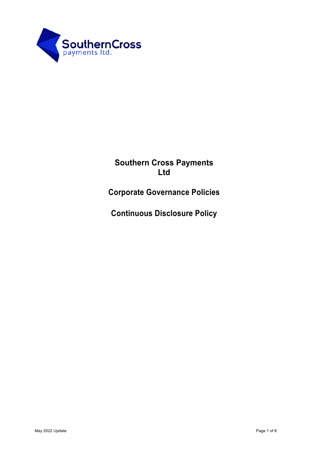

# **Southern Cross Payments Ltd**

**Corporate Governance Policies** 

**Continuous Disclosure Policy**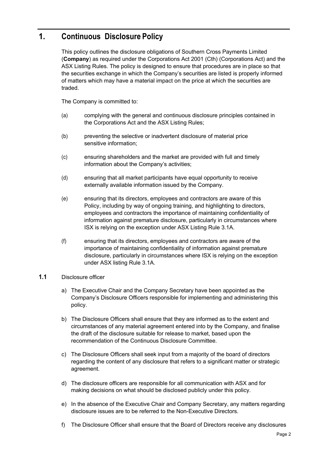# **1. Continuous Disclosure Policy**

This policy outlines the disclosure obligations of Southern Cross Payments Limited (**Company**) as required under the Corporations Act 2001 (Cth) (Corporations Act) and the ASX Listing Rules. The policy is designed to ensure that procedures are in place so that the securities exchange in which the Company's securities are listed is properly informed of matters which may have a material impact on the price at which the securities are traded.

The Company is committed to:

- (a) complying with the general and continuous disclosure principles contained in the Corporations Act and the ASX Listing Rules;
- (b) preventing the selective or inadvertent disclosure of material price sensitive information;
- (c) ensuring shareholders and the market are provided with full and timely information about the Company's activities;
- (d) ensuring that all market participants have equal opportunity to receive externally available information issued by the Company.
- (e) ensuring that its directors, employees and contractors are aware of this Policy, including by way of ongoing training, and highlighting to directors, employees and contractors the importance of maintaining confidentiality of information against premature disclosure, particularly in circumstances where ISX is relying on the exception under ASX Listing Rule 3.1A.
- (f) ensuring that its directors, employees and contractors are aware of the importance of maintaining confidentiality of information against premature disclosure, particularly in circumstances where ISX is relying on the exception under ASX listing Rule 3.1A.

#### **1.1** Disclosure officer

- a) The Executive Chair and the Company Secretary have been appointed as the Company's Disclosure Officers responsible for implementing and administering this policy.
- b) The Disclosure Officers shall ensure that they are informed as to the extent and circumstances of any material agreement entered into by the Company, and finalise the draft of the disclosure suitable for release to market, based upon the recommendation of the Continuous Disclosure Committee.
- c) The Disclosure Officers shall seek input from a majority of the board of directors regarding the content of any disclosure that refers to a significant matter or strategic agreement.
- d) The disclosure officers are responsible for all communication with ASX and for making decisions on what should be disclosed publicly under this policy.
- e) In the absence of the Executive Chair and Company Secretary, any matters regarding disclosure issues are to be referred to the Non-Executive Directors.
- f) The Disclosure Officer shall ensure that the Board of Directors receive any disclosures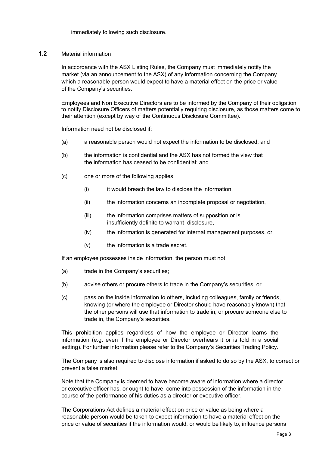immediately following such disclosure.

#### **1.2** Material information

In accordance with the ASX Listing Rules, the Company must immediately notify the market (via an announcement to the ASX) of any information concerning the Company which a reasonable person would expect to have a material effect on the price or value of the Company's securities.

Employees and Non Executive Directors are to be informed by the Company of their obligation to notify Disclosure Officers of matters potentially requiring disclosure, as those matters come to their attention (except by way of the Continuous Disclosure Committee).

Information need not be disclosed if:

- (a) a reasonable person would not expect the information to be disclosed; and
- (b) the information is confidential and the ASX has not formed the view that the information has ceased to be confidential; and
- (c) one or more of the following applies:
	- (i) it would breach the law to disclose the information,
	- (ii) the information concerns an incomplete proposal or negotiation,
	- (iii) the information comprises matters of supposition or is insufficiently definite to warrant disclosure,
	- (iv) the information is generated for internal management purposes, or
	- $(v)$  the information is a trade secret.

If an employee possesses inside information, the person must not:

- (a) trade in the Company's securities;
- (b) advise others or procure others to trade in the Company's securities; or
- (c) pass on the inside information to others, including colleagues, family or friends, knowing (or where the employee or Director should have reasonably known) that the other persons will use that information to trade in, or procure someone else to trade in, the Company's securities.

This prohibition applies regardless of how the employee or Director learns the information (e.g. even if the employee or Director overhears it or is told in a social setting). For further information please refer to the Company's Securities Trading Policy.

The Company is also required to disclose information if asked to do so by the ASX, to correct or prevent a false market.

Note that the Company is deemed to have become aware of information where a director or executive officer has, or ought to have, come into possession of the information in the course of the performance of his duties as a director or executive officer.

The Corporations Act defines a material effect on price or value as being where a reasonable person would be taken to expect information to have a material effect on the price or value of securities if the information would, or would be likely to, influence persons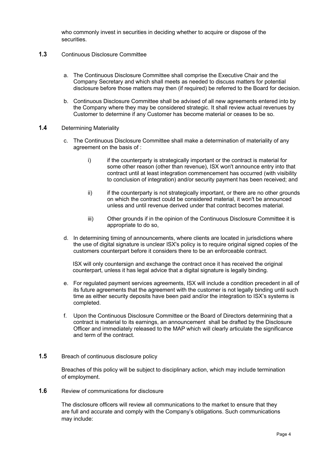who commonly invest in securities in deciding whether to acquire or dispose of the securities.

#### **1.3** Continuous Disclosure Committee

- a. The Continuous Disclosure Committee shall comprise the Executive Chair and the Company Secretary and which shall meets as needed to discuss matters for potential disclosure before those matters may then (if required) be referred to the Board for decision.
- b. Continuous Disclosure Committee shall be advised of all new agreements entered into by the Company where they may be considered strategic. It shall review actual revenues by Customer to determine if any Customer has become material or ceases to be so.

#### **1.4** Determining Materiality

- c. The Continuous Disclosure Committee shall make a determination of materiality of any agreement on the basis of :
	- i) if the counterparty is strategically important or the contract is material for some other reason (other than revenue), ISX won't announce entry into that contract until at least integration commencement has occurred (with visibility to conclusion of integration) and/or security payment has been received; and
	- ii) if the counterparty is not strategically important, or there are no other grounds on which the contract could be considered material, it won't be announced unless and until revenue derived under that contract becomes material.
	- iii) Other grounds if in the opinion of the Continuous Disclosure Committee it is appropriate to do so,
- d. In determining timing of announcements, where clients are located in jurisdictions where the use of digital signature is unclear ISX's policy is to require original signed copies of the customers counterpart before it considers there to be an enforceable contract.

ISX will only countersign and exchange the contract once it has received the original counterpart, unless it has legal advice that a digital signature is legally binding.

- e. For regulated payment services agreements, ISX will include a condition precedent in all of its future agreements that the agreement with the customer is not legally binding until such time as either security deposits have been paid and/or the integration to ISX's systems is completed.
- f. Upon the Continuous Disclosure Committee or the Board of Directors determining that a contract is material to its earnings, an announcement shall be drafted by the Disclosure Officer and immediately released to the MAP which will clearly articulate the significance and term of the contract.
- **1.5** Breach of continuous disclosure policy

Breaches of this policy will be subject to disciplinary action, which may include termination of employment.

**1.6** Review of communications for disclosure

The disclosure officers will review all communications to the market to ensure that they are full and accurate and comply with the Company's obligations. Such communications may include: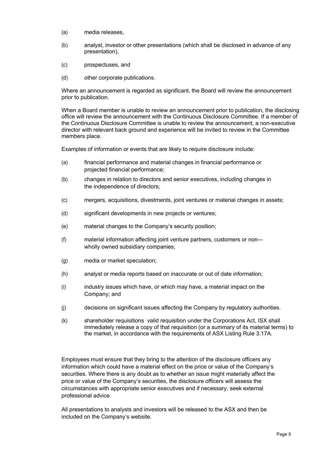- (a) media releases,
- (b) analyst, investor or other presentations (which shall be disclosed in advance of any presentation),
- (c) prospectuses, and
- (d) other corporate publications.

Where an announcement is regarded as significant, the Board will review the announcement prior to publication.

When a Board member is unable to review an announcement prior to publication, the disclosing office will review the announcement with the Continuous Disclosure Committee. If a member of the Continuous Disclosure Committee is unable to review the announcement, a non-executive director with relevant back ground and experience will be invited to review in the Committee members place.

Examples of information or events that are likely to require disclosure include:

- (a) financial performance and material changes in financial performance or projected financial performance;
- (b) changes in relation to directors and senior executives, including changes in the independence of directors;
- (c) mergers, acquisitions, divestments, joint ventures or material changes in assets;
- (d) significant developments in new projects or ventures;
- (e) material changes to the Company's security position;
- (f) material information affecting joint venture partners, customers or non-- wholly owned subsidiary companies;
- (g) media or market speculation;
- (h) analyst or media reports based on inaccurate or out of date information;
- (i) industry issues which have, or which may have, a material impact on the Company; and
- (j) decisions on significant issues affecting the Company by regulatory authorities.
- (k) shareholder requisitions valid requisition under the Corporations Act, ISX shall immediately release a copy of that requisition (or a summary of its material terms) to the market, in accordance with the requirements of ASX Listing Rule 3.17A.

Employees must ensure that they bring to the attention of the disclosure officers any information which could have a material effect on the price or value of the Company's securities. Where there is any doubt as to whether an issue might materially affect the price or value of the Company's securities, the disclosure officers will assess the circumstances with appropriate senior executives and if necessary, seek external professional advice.

All presentations to analysts and investors will be released to the ASX and then be included on the Company's website.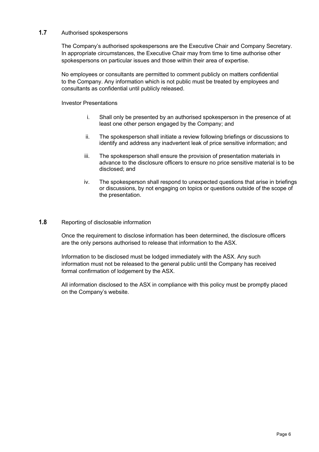# **1.7** Authorised spokespersons

The Company's authorised spokespersons are the Executive Chair and Company Secretary. In appropriate circumstances, the Executive Chair may from time to time authorise other spokespersons on particular issues and those within their area of expertise.

No employees or consultants are permitted to comment publicly on matters confidential to the Company. Any information which is not public must be treated by employees and consultants as confidential until publicly released.

#### Investor Presentations

- i. Shall only be presented by an authorised spokesperson in the presence of at least one other person engaged by the Company; and
- ii. The spokesperson shall initiate a review following briefings or discussions to identify and address any inadvertent leak of price sensitive information; and
- iii. The spokesperson shall ensure the provision of presentation materials in advance to the disclosure officers to ensure no price sensitive material is to be disclosed; and
- iv. The spokesperson shall respond to unexpected questions that arise in briefings or discussions, by not engaging on topics or questions outside of the scope of the presentation.

#### **1.8** Reporting of disclosable information

Once the requirement to disclose information has been determined, the disclosure officers are the only persons authorised to release that information to the ASX.

Information to be disclosed must be lodged immediately with the ASX. Any such information must not be released to the general public until the Company has received formal confirmation of lodgement by the ASX.

All information disclosed to the ASX in compliance with this policy must be promptly placed on the Company's website.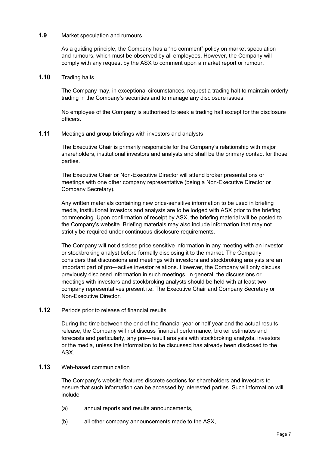#### **1.9** Market speculation and rumours

As a guiding principle, the Company has a "no comment" policy on market speculation and rumours, which must be observed by all employees. However, the Company will comply with any request by the ASX to comment upon a market report or rumour.

#### **1.10** Trading halts

The Company may, in exceptional circumstances, request a trading halt to maintain orderly trading in the Company's securities and to manage any disclosure issues.

No employee of the Company is authorised to seek a trading halt except for the disclosure officers.

## **1.11** Meetings and group briefings with investors and analysts

The Executive Chair is primarily responsible for the Company's relationship with major shareholders, institutional investors and analysts and shall be the primary contact for those parties.

The Executive Chair or Non-Executive Director will attend broker presentations or meetings with one other company representative (being a Non-Executive Director or Company Secretary).

Any written materials containing new price-sensitive information to be used in briefing media, institutional investors and analysts are to be lodged with ASX prior to the briefing commencing. Upon confirmation of receipt by ASX, the briefing material will be posted to the Company's website. Briefing materials may also include information that may not strictly be required under continuous disclosure requirements.

The Company will not disclose price sensitive information in any meeting with an investor or stockbroking analyst before formally disclosing it to the market. The Company considers that discussions and meetings with investors and stockbroking analysts are an important part of pro---active investor relations. However, the Company will only discuss previously disclosed information in such meetings. In general, the discussions or meetings with investors and stockbroking analysts should be held with at least two company representatives present i.e. The Executive Chair and Company Secretary or Non-Executive Director.

## **1.12** Periods prior to release of financial results

During the time between the end of the financial year or half year and the actual results release, the Company will not discuss financial performance, broker estimates and forecasts and particularly, any pre---result analysis with stockbroking analysts, investors or the media, unless the information to be discussed has already been disclosed to the ASX.

#### **1.13** Web-based communication

The Company's website features discrete sections for shareholders and investors to ensure that such information can be accessed by interested parties. Such information will include

- (a) annual reports and results announcements,
- (b) all other company announcements made to the ASX,